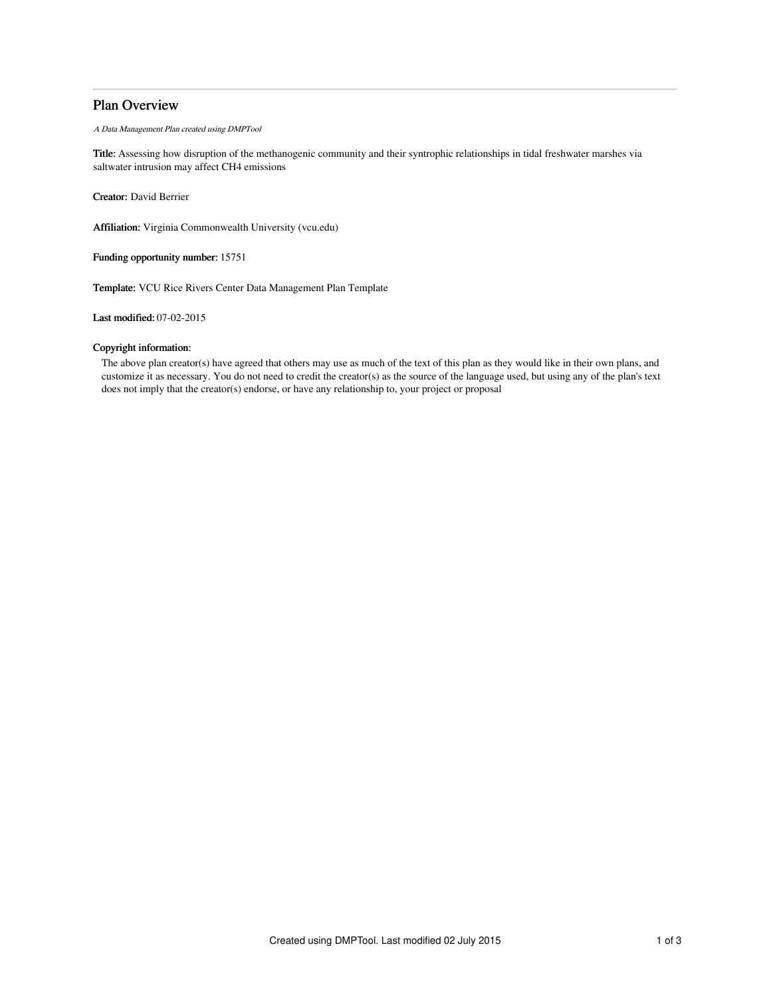## Plan Overview

A Data Management Plan created using DMPTool

Title: Assessing how disruption of the methanogenic community and their syntrophic relationships in tidal freshwater marshes via saltwater intrusion may affect CH4 emissions

Creator: David Berrier

Affiliation: Virginia Commonwealth University (vcu.edu)

Funding opportunity number: 15751

Template: VCU Rice Rivers Center Data Management Plan Template

Last modified: 07-02-2015

## Copyright information:

The above plan creator(s) have agreed that others may use as much of the text of this plan as they would like in their own plans, and customize it as necessary. You do not need to credit the creator(s) as the source of the language used, but using any of the plan's text does not imply that the creator(s) endorse, or have any relationship to, your project or proposal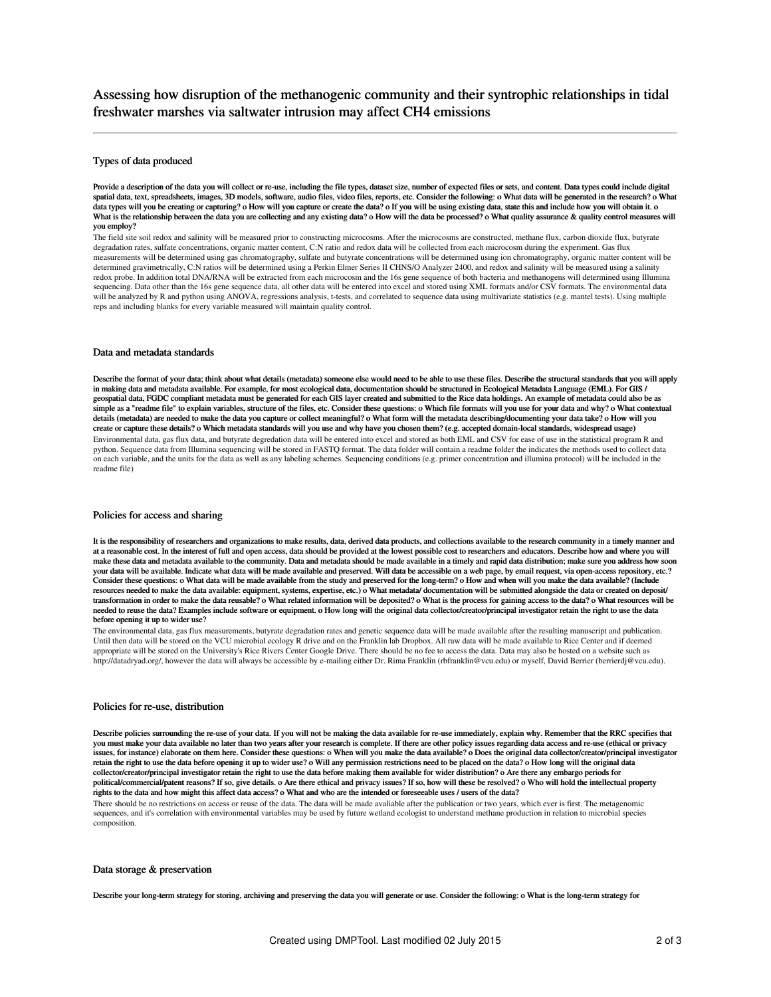# Assessing how disruption of the methanogenic community and their syntrophic relationships in tidal freshwater marshes via saltwater intrusion may affect CH4 emissions

## Types of data produced

Provide a description of the data you will collect or re-use, including the file types, dataset size, number of expected files or sets, and content. Data types could include digital spatial data, text, spreadsheets, images, 3D models, software, audio files, video files, reports, etc. Consider the following: o What data will be generated in the research? o What data types will you be creating or capturing? o How will you capture or create the data? o If you will be using existing data, state this and include how you will obtain it. o What is the relationship between the data you are collecting and any existing data? o How will the data be processed? o What quality assurance & quality control measures will you employ?

The field site soil redox and salinity will be measured prior to constructing microcosms. After the microcosms are constructed, methane flux, carbon dioxide flux, butyrate degradation rates, sulfate concentrations, organic matter content, C:N ratio and redox data will be collected from each microcosm during the experiment. Gas flux measurements will be determined using gas chromatography, sulfate and butyrate concentrations will be determined using ion chromatography, organic matter content will be determined gravimetrically, C:N ratios will be determined using a Perkin Elmer Series II CHNS/O Analyzer 2400, and redox and salinity will be measured using a salinity<br>redox probe. In addition total DNA/RNA will be extract sequencing. Data other than the 16s gene sequence data, all other data will be entered into excel and stored using XML formats and/or CSV formats. The environmental data will be analyzed by R and python using ANOVA, regressions analysis, t-tests, and correlated to sequence data using multivariate statistics (e.g. mantel tests). Using multiple reps and including blanks for every variable measured will maintain quality control.

## Data and metadata standards

Describe the format of your data; think about what details (metadata) someone else would need to be able to use these files. Describe the structural standards that you will apply in making data and metadata available. For example, for most ecological data, documentation should be structured in Ecological Metadata Language (EML). For GIS / geospatial data, FGDC compliant metadata must be generated for each GIS layer created and submitted to the Rice data holdings. An example of metadata could also be as simple as a "readme file" to explain variables, structure of the files, etc. Consider these questions: o Which file formats will you use for your data and why? o What contextual details (metadata) are needed to make the data you capture or collect meaningful? o What form will the metadata describing/documenting your data take? o How will you create or capture these details? o Which metadata standards will you use and why have you chosen them? (e.g. accepted domain-local standards, widespread usage) Environmental data, gas flux data, and butyrate degredation data will be entered into excel and stored as both EML and CSV for ease of use in the statistical program R and python. Sequence data from Illumina sequencing will be stored in FASTQ format. The data folder will contain a readme folder the indicates the methods used to collect data on each variable, and the units for the data as well as any labeling schemes. Sequencing conditions (e.g. primer concentration and illumina protocol) will be included in the readme file)

### Policies for access and sharing

It is the responsibility of researchers and organizations to make results, data, derived data products, and collections available to the research community in a timely manner and at a reasonable cost. In the interest of full and open access, data should be provided at the lowest possible cost to researchers and educators. Describe how and where you will make these data and metadata available to the community. Data and metadata should be made available in a timely and rapid data distribution; make sure you address how soon your data will be available. Indicate what data will be made available and preserved. Will data be accessible on a web page, by email request, via open-access repository, etc.? Consider these questions: o What data will be made available from the study and preserved for the long-term? o How and when will you make the data available? (Include resources needed to make the data available: equipment, systems, expertise, etc.) o What metadata/ documentation will be submitted alongside the data or created on deposit/ transformation in order to make the data reusable? o What related information will be deposited? o What is the process for gaining access to the data? o What resources will be needed to reuse the data? Examples include software or equipment. o How long will the original data collector/creator/principal investigator retain the right to use the data before opening it up to wider use?

The environmental data, gas flux measurements, butyrate degradation rates and genetic sequence data will be made available after the resulting manuscript and publication. Until then data will be stored on the VCU microbial ecology R drive and on the Franklin lab Dropbox. All raw data will be made available to Rice Center and if deemed appropriate will be stored on the University's Rice Rivers Center Google Drive. There should be no fee to access the data. Data may also be hosted on a website such as http://datadryad.org/, however the data will always be accessible by e-mailing either Dr. Rima Franklin (rbfranklin@vcu.edu) or myself, David Berrier (berrierdj@vcu.edu).

### Policies for re-use, distribution

Describe policies surrounding the re-use of your data. If you will not be making the data available for re-use immediately, explain why. Remember that the RRC specifies that you must make your data available no later than two years after your research is complete. If there are other policy issues regarding data access and re-use (ethical or privacy issues, for instance) elaborate on them here. Consider these questions: o When will you make the data available? o Does the original data collector/creator/principal investigator retain the right to use the data before opening it up to wider use? o Will any permission restrictions need to be placed on the data? o How long will the original data collector/creator/principal investigator retain the right to use the data before making them available for wider distribution? o Are there any embargo periods for political/commercial/patent reasons? If so, give details. o Are there ethical and privacy issues? If so, how will these be resolved? o Who will hold the intellectual property rights to the data and how might this affect data access? o What and who are the intended or foreseeable uses / users of the data?

There should be no restrictions on access or reuse of the data. The data will be made avaliable after the publication or two years, which ever is first. The metagenomic sequences, and it's correlation with environmental variables may be used by future wetland ecologist to understand methane production in relation to microbial species composition.

#### Data storage & preservation

Describe your long-term strategy for storing, archiving and preserving the data you will generate or use. Consider the following: o What is the long-term strategy for